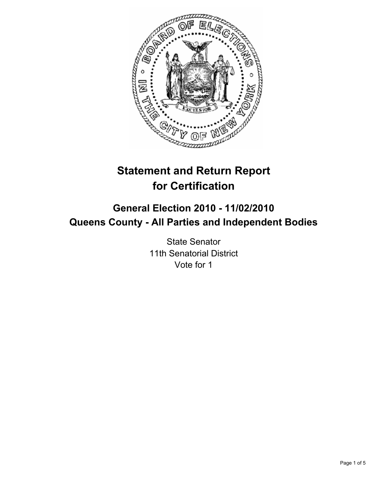

# **Statement and Return Report for Certification**

## **General Election 2010 - 11/02/2010 Queens County - All Parties and Independent Bodies**

State Senator 11th Senatorial District Vote for 1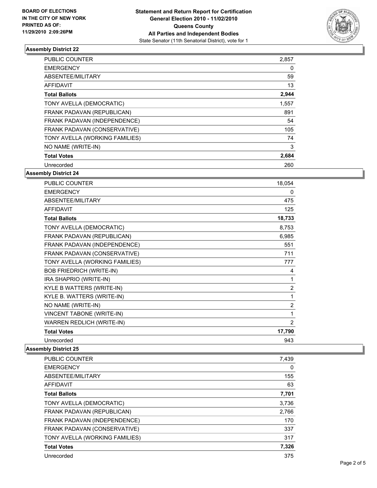

## **Assembly District 22**

| <b>PUBLIC COUNTER</b>          | 2,857 |
|--------------------------------|-------|
| <b>EMERGENCY</b>               | 0     |
| ABSENTEE/MILITARY              | 59    |
| <b>AFFIDAVIT</b>               | 13    |
| <b>Total Ballots</b>           | 2,944 |
| TONY AVELLA (DEMOCRATIC)       | 1,557 |
| FRANK PADAVAN (REPUBLICAN)     | 891   |
| FRANK PADAVAN (INDEPENDENCE)   | 54    |
| FRANK PADAVAN (CONSERVATIVE)   | 105   |
| TONY AVELLA (WORKING FAMILIES) | 74    |
| NO NAME (WRITE-IN)             | 3     |
| <b>Total Votes</b>             | 2,684 |
| Unrecorded                     | 260   |

### **Assembly District 24**

| PUBLIC COUNTER                   | 18,054         |
|----------------------------------|----------------|
| <b>EMERGENCY</b>                 | 0              |
| ABSENTEE/MILITARY                | 475            |
| <b>AFFIDAVIT</b>                 | 125            |
| <b>Total Ballots</b>             | 18,733         |
| TONY AVELLA (DEMOCRATIC)         | 8,753          |
| FRANK PADAVAN (REPUBLICAN)       | 6,985          |
| FRANK PADAVAN (INDEPENDENCE)     | 551            |
| FRANK PADAVAN (CONSERVATIVE)     | 711            |
| TONY AVELLA (WORKING FAMILIES)   | 777            |
| <b>BOB FRIEDRICH (WRITE-IN)</b>  | 4              |
| IRA SHAPRIO (WRITE-IN)           | 1              |
| KYLE B WATTERS (WRITE-IN)        | $\overline{2}$ |
| KYLE B. WATTERS (WRITE-IN)       | 1              |
| NO NAME (WRITE-IN)               | $\overline{2}$ |
| <b>VINCENT TABONE (WRITE-IN)</b> | 1              |
| WARREN REDLICH (WRITE-IN)        | 2              |
| <b>Total Votes</b>               | 17,790         |
| Unrecorded                       | 943            |

#### **Assembly District 25**

| <b>PUBLIC COUNTER</b>          | 7,439 |
|--------------------------------|-------|
| <b>EMERGENCY</b>               | 0     |
| ABSENTEE/MILITARY              | 155   |
| <b>AFFIDAVIT</b>               | 63    |
| <b>Total Ballots</b>           | 7,701 |
| TONY AVELLA (DEMOCRATIC)       | 3,736 |
| FRANK PADAVAN (REPUBLICAN)     | 2,766 |
| FRANK PADAVAN (INDEPENDENCE)   | 170   |
| FRANK PADAVAN (CONSERVATIVE)   | 337   |
| TONY AVELLA (WORKING FAMILIES) | 317   |
| <b>Total Votes</b>             | 7,326 |
| Unrecorded                     | 375   |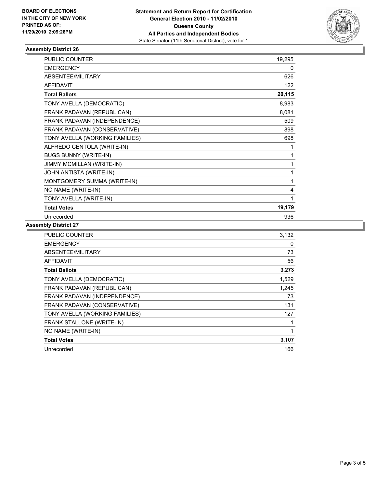

## **Assembly District 26**

| <b>PUBLIC COUNTER</b>          | 19,295 |
|--------------------------------|--------|
| <b>EMERGENCY</b>               | 0      |
| ABSENTEE/MILITARY              | 626    |
| <b>AFFIDAVIT</b>               | 122    |
| <b>Total Ballots</b>           | 20,115 |
| TONY AVELLA (DEMOCRATIC)       | 8,983  |
| FRANK PADAVAN (REPUBLICAN)     | 8,081  |
| FRANK PADAVAN (INDEPENDENCE)   | 509    |
| FRANK PADAVAN (CONSERVATIVE)   | 898    |
| TONY AVELLA (WORKING FAMILIES) | 698    |
| ALFREDO CENTOLA (WRITE-IN)     | 1      |
| <b>BUGS BUNNY (WRITE-IN)</b>   | 1      |
| JIMMY MCMILLAN (WRITE-IN)      | 1      |
| JOHN ANTISTA (WRITE-IN)        | 1      |
| MONTGOMERY SUMMA (WRITE-IN)    | 1      |
| NO NAME (WRITE-IN)             | 4      |
| TONY AVELLA (WRITE-IN)         | 1      |
| <b>Total Votes</b>             | 19,179 |
| Unrecorded                     | 936    |
|                                |        |

## **Assembly District 27**

| <b>PUBLIC COUNTER</b>          | 3,132 |
|--------------------------------|-------|
| <b>EMERGENCY</b>               | 0     |
| ABSENTEE/MILITARY              | 73    |
| <b>AFFIDAVIT</b>               | 56    |
| <b>Total Ballots</b>           | 3,273 |
| TONY AVELLA (DEMOCRATIC)       | 1,529 |
| FRANK PADAVAN (REPUBLICAN)     | 1,245 |
| FRANK PADAVAN (INDEPENDENCE)   | 73    |
| FRANK PADAVAN (CONSERVATIVE)   | 131   |
| TONY AVELLA (WORKING FAMILIES) | 127   |
| FRANK STALLONE (WRITE-IN)      | 1     |
| NO NAME (WRITE-IN)             | 1     |
| <b>Total Votes</b>             | 3,107 |
| Unrecorded                     | 166   |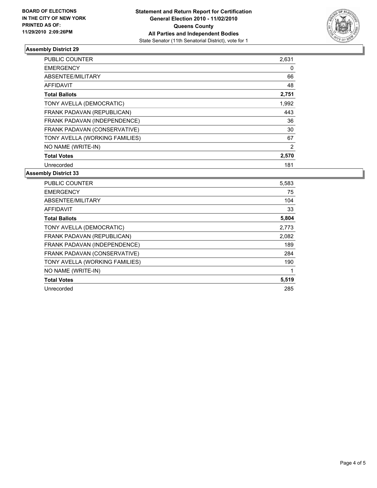

## **Assembly District 29**

| <b>PUBLIC COUNTER</b>          | 2,631          |
|--------------------------------|----------------|
| <b>EMERGENCY</b>               | 0              |
| ABSENTEE/MILITARY              | 66             |
| <b>AFFIDAVIT</b>               | 48             |
| <b>Total Ballots</b>           | 2,751          |
| TONY AVELLA (DEMOCRATIC)       | 1,992          |
| FRANK PADAVAN (REPUBLICAN)     | 443            |
| FRANK PADAVAN (INDEPENDENCE)   | 36             |
| FRANK PADAVAN (CONSERVATIVE)   | 30             |
| TONY AVELLA (WORKING FAMILIES) | 67             |
| NO NAME (WRITE-IN)             | $\overline{2}$ |
| <b>Total Votes</b>             | 2,570          |
| Unrecorded                     | 181            |

### **Assembly District 33**

| <b>PUBLIC COUNTER</b>          | 5,583 |
|--------------------------------|-------|
| <b>EMERGENCY</b>               | 75    |
| ABSENTEE/MILITARY              | 104   |
| <b>AFFIDAVIT</b>               | 33    |
| <b>Total Ballots</b>           | 5,804 |
| TONY AVELLA (DEMOCRATIC)       | 2,773 |
| FRANK PADAVAN (REPUBLICAN)     | 2,082 |
| FRANK PADAVAN (INDEPENDENCE)   | 189   |
| FRANK PADAVAN (CONSERVATIVE)   | 284   |
| TONY AVELLA (WORKING FAMILIES) | 190   |
| NO NAME (WRITE-IN)             | 1     |
| <b>Total Votes</b>             | 5,519 |
| Unrecorded                     | 285   |